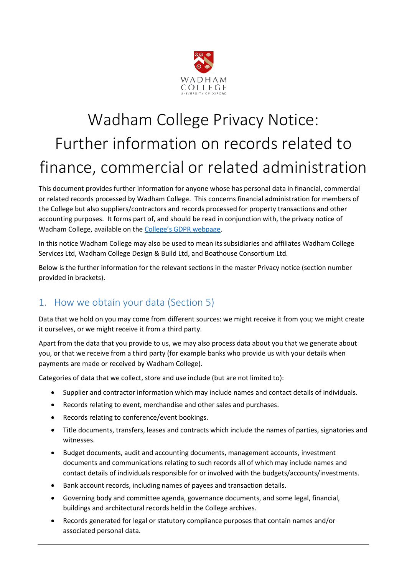

# Wadham College Privacy Notice: Further information on records related to finance, commercial or related administration

This document provides further information for anyone whose has personal data in financial, commercial or related records processed by Wadham College. This concerns financial administration for members of the College but also suppliers/contractors and records processed for property transactions and other accounting purposes. It forms part of, and should be read in conjunction with, the privacy notice of Wadham College, available on the [College's GDPR webpage](https://www.wadham.ox.ac.uk/governance/wadham-college-gdpr-framework).

In this notice Wadham College may also be used to mean its subsidiaries and affiliates Wadham College Services Ltd, Wadham College Design & Build Ltd, and Boathouse Consortium Ltd.

Below is the further information for the relevant sections in the master Privacy notice (section number provided in brackets).

### 1. How we obtain your data (Section 5)

Data that we hold on you may come from different sources: we might receive it from you; we might create it ourselves, or we might receive it from a third party.

Apart from the data that you provide to us, we may also process data about you that we generate about you, or that we receive from a third party (for example banks who provide us with your details when payments are made or received by Wadham College).

Categories of data that we collect, store and use include (but are not limited to):

- Supplier and contractor information which may include names and contact details of individuals.
- Records relating to event, merchandise and other sales and purchases.
- Records relating to conference/event bookings.
- Title documents, transfers, leases and contracts which include the names of parties, signatories and witnesses.
- Budget documents, audit and accounting documents, management accounts, investment documents and communications relating to such records all of which may include names and contact details of individuals responsible for or involved with the budgets/accounts/investments.
- Bank account records, including names of payees and transaction details.
- Governing body and committee agenda, governance documents, and some legal, financial, buildings and architectural records held in the College archives.
- Records generated for legal or statutory compliance purposes that contain names and/or associated personal data.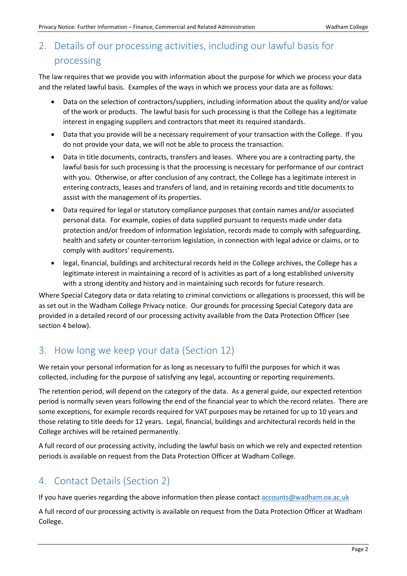## 2. Details of our processing activities, including our lawful basis for processing

The law requires that we provide you with information about the purpose for which we process your data and the related lawful basis. Examples of the ways in which we process your data are as follows:

- Data on the selection of contractors/suppliers, including information about the quality and/or value of the work or products. The lawful basis for such processing is that the College has a legitimate interest in engaging suppliers and contractors that meet its required standards.
- Data that you provide will be a necessary requirement of your transaction with the College. If you do not provide your data, we will not be able to process the transaction.
- Data in title documents, contracts, transfers and leases. Where you are a contracting party, the lawful basis for such processing is that the processing is necessary for performance of our contract with you. Otherwise, or after conclusion of any contract, the College has a legitimate interest in entering contracts, leases and transfers of land, and in retaining records and title documents to assist with the management of its properties.
- Data required for legal or statutory compliance purposes that contain names and/or associated personal data. For example, copies of data supplied pursuant to requests made under data protection and/or freedom of information legislation, records made to comply with safeguarding, health and safety or counter-terrorism legislation, in connection with legal advice or claims, or to comply with auditors' requirements.
- legal, financial, buildings and architectural records held in the College archives, the College has a legitimate interest in maintaining a record of is activities as part of a long established university with a strong identity and history and in maintaining such records for future research.

Where Special Category data or data relating to criminal convictions or allegations is processed, this will be as set out in the Wadham College Privacy notice. Our grounds for processing Special Category data are provided in a detailed record of our processing activity available from the Data Protection Officer (see section 4 below).

### 3. How long we keep your data (Section 12)

We retain your personal information for as long as necessary to fulfil the purposes for which it was collected, including for the purpose of satisfying any legal, accounting or reporting requirements.

The retention period, will depend on the category of the data. As a general guide, our expected retention period is normally seven years following the end of the financial year to which the record relates. There are some exceptions, for example records required for VAT purposes may be retained for up to 10 years and those relating to title deeds for 12 years. Legal, financial, buildings and architectural records held in the College archives will be retained permanently.

A full record of our processing activity, including the lawful basis on which we rely and expected retention periods is available on request from the Data Protection Officer at Wadham College.

#### 4. Contact Details (Section 2)

If you have queries regarding the above information then please contac[t accounts@wadham.ox.ac.uk](mailto:accounts@wadh.ox.ac.uk)

A full record of our processing activity is available on request from the Data Protection Officer at Wadham College.